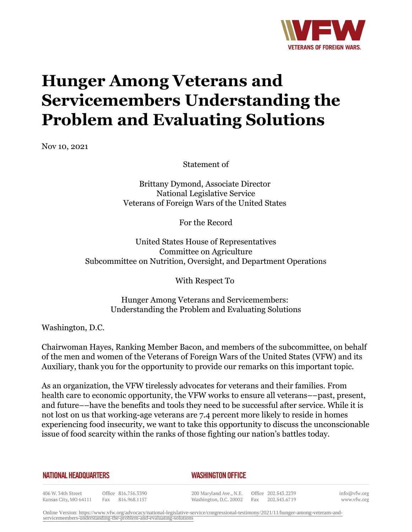

# **Hunger Among Veterans and Servicemembers Understanding the Problem and Evaluating Solutions**

Nov 10, 2021

Statement of

Brittany Dymond, Associate Director National Legislative Service Veterans of Foreign Wars of the United States

For the Record

United States House of Representatives Committee on Agriculture Subcommittee on Nutrition, Oversight, and Department Operations

With Respect To

Hunger Among Veterans and Servicemembers: Understanding the Problem and Evaluating Solutions

Washington, D.C.

Chairwoman Hayes, Ranking Member Bacon, and members of the subcommittee, on behalf of the men and women of the Veterans of Foreign Wars of the United States (VFW) and its Auxiliary, thank you for the opportunity to provide our remarks on this important topic.

As an organization, the VFW tirelessly advocates for veterans and their families. From health care to economic opportunity, the VFW works to ensure all veterans––past, present, and future––have the benefits and tools they need to be successful after service. While it is not lost on us that working-age veterans are 7.4 percent more likely to reside in homes experiencing food insecurity, we want to take this opportunity to discuss the unconscionable issue of food scarcity within the ranks of those fighting our nation's battles today.

**NATIONAL HEADQUARTERS** 

#### *WASHINGTON OFFICE*

406 W. 34th Street Kansas City, MO 64111

Office 816.756.3390 Fax 816.968.1157

200 Maryland Ave., N.E. Washington, D.C. 20002

Office 202.543.2239 Fax 202.543.6719 info@vfw.org www.vfw.org

Online Version: [https://www.vfw.org/advocacy/national-legislative-service/congressional-testimony/2021/11/hunger-among-veterans-and](https://www.vfw.org/advocacy/national-legislative-service/congressional-testimony/2021/11/hunger-among-veterans-and-servicemembers-understanding-the-problem-and-evaluating-solutions)[servicemembers-understanding-the-problem-and-evaluating-solutions](https://www.vfw.org/advocacy/national-legislative-service/congressional-testimony/2021/11/hunger-among-veterans-and-servicemembers-understanding-the-problem-and-evaluating-solutions)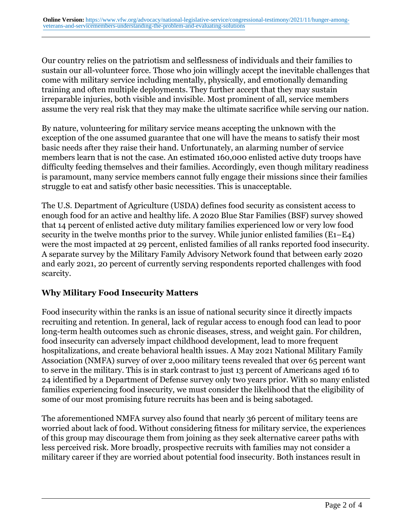Our country relies on the patriotism and selflessness of individuals and their families to sustain our all-volunteer force. Those who join willingly accept the inevitable challenges that come with military service including mentally, physically, and emotionally demanding training and often multiple deployments. They further accept that they may sustain irreparable injuries, both visible and invisible. Most prominent of all, service members assume the very real risk that they may make the ultimate sacrifice while serving our nation.

By nature, volunteering for military service means accepting the unknown with the exception of the one assumed guarantee that one will have the means to satisfy their most basic needs after they raise their hand. Unfortunately, an alarming number of service members learn that is not the case. An estimated 160,000 enlisted active duty troops have difficulty feeding themselves and their families. Accordingly, even though military readiness is paramount, many service members cannot fully engage their missions since their families struggle to eat and satisfy other basic necessities. This is unacceptable.

The U.S. Department of Agriculture (USDA) defines food security as consistent access to enough food for an active and healthy life. A 2020 Blue Star Families (BSF) survey showed that 14 percent of enlisted active duty military families experienced low or very low food security in the twelve months prior to the survey. While junior enlisted families (E1–E4) were the most impacted at 29 percent, enlisted families of all ranks reported food insecurity. A separate survey by the Military Family Advisory Network found that between early 2020 and early 2021, 20 percent of currently serving respondents reported challenges with food scarcity.

### **Why Military Food Insecurity Matters**

Food insecurity within the ranks is an issue of national security since it directly impacts recruiting and retention. In general, lack of regular access to enough food can lead to poor long-term health outcomes such as chronic diseases, stress, and weight gain. For children, food insecurity can adversely impact childhood development, lead to more frequent hospitalizations, and create behavioral health issues. A May 2021 National Military Family Association (NMFA) survey of over 2,000 military teens revealed that over 65 percent want to serve in the military. This is in stark contrast to just 13 percent of Americans aged 16 to 24 identified by a Department of Defense survey only two years prior. With so many enlisted families experiencing food insecurity, we must consider the likelihood that the eligibility of some of our most promising future recruits has been and is being sabotaged.

The aforementioned NMFA survey also found that nearly 36 percent of military teens are worried about lack of food. Without considering fitness for military service, the experiences of this group may discourage them from joining as they seek alternative career paths with less perceived risk. More broadly, prospective recruits with families may not consider a military career if they are worried about potential food insecurity. Both instances result in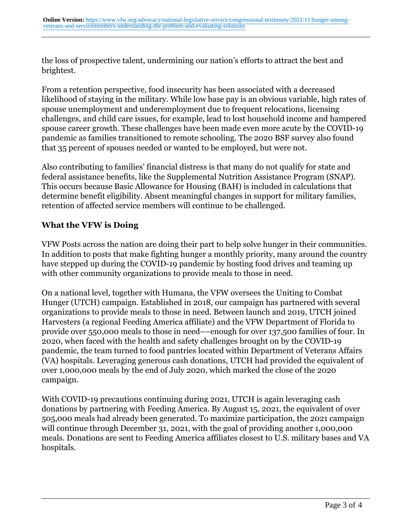the loss of prospective talent, undermining our nation's efforts to attract the best and brightest.

From a retention perspective, food insecurity has been associated with a decreased likelihood of staying in the military. While low base pay is an obvious variable, high rates of spouse unemployment and underemployment due to frequent relocations, licensing challenges, and child care issues, for example, lead to lost household income and hampered spouse career growth. These challenges have been made even more acute by the COVID-19 pandemic as families transitioned to remote schooling. The 2020 BSF survey also found that 35 percent of spouses needed or wanted to be employed, but were not.

Also contributing to families' financial distress is that many do not qualify for state and federal assistance benefits, like the Supplemental Nutrition Assistance Program (SNAP). This occurs because Basic Allowance for Housing (BAH) is included in calculations that determine benefit eligibility. Absent meaningful changes in support for military families, retention of affected service members will continue to be challenged.

### **What the VFW is Doing**

VFW Posts across the nation are doing their part to help solve hunger in their communities. In addition to posts that make fighting hunger a monthly priority, many around the country have stepped up during the COVID-19 pandemic by hosting food drives and teaming up with other community organizations to provide meals to those in need.

On a national level, together with Humana, the VFW oversees the Uniting to Combat Hunger (UTCH) campaign. Established in 2018, our campaign has partnered with several organizations to provide meals to those in need. Between launch and 2019, UTCH joined Harvesters (a regional Feeding America affiliate) and the VFW Department of Florida to provide over 550,000 meals to those in need––enough for over 137,500 families of four. In 2020, when faced with the health and safety challenges brought on by the COVID-19 pandemic, the team turned to food pantries located within Department of Veterans Affairs (VA) hospitals. Leveraging generous cash donations, UTCH had provided the equivalent of over 1,000,000 meals by the end of July 2020, which marked the close of the 2020 campaign.

With COVID-19 precautions continuing during 2021, UTCH is again leveraging cash donations by partnering with Feeding America. By August 15, 2021, the equivalent of over 505,000 meals had already been generated. To maximize participation, the 2021 campaign will continue through December 31, 2021, with the goal of providing another 1,000,000 meals. Donations are sent to Feeding America affiliates closest to U.S. military bases and VA hospitals.